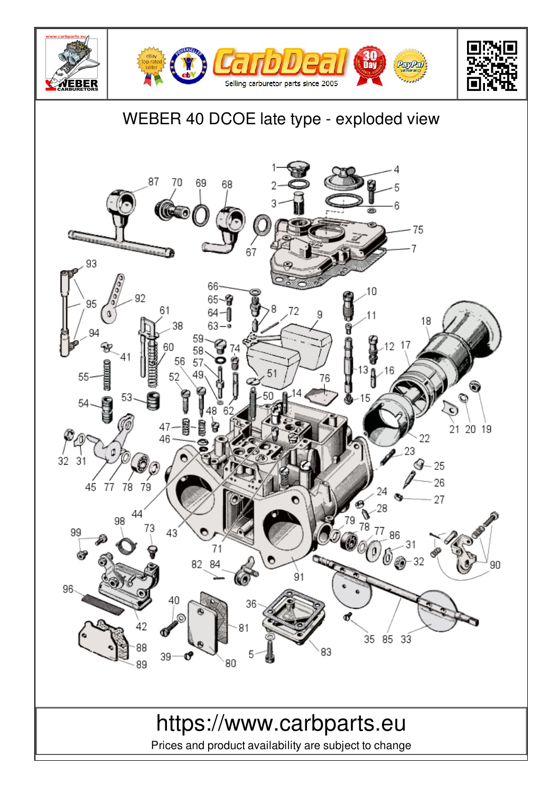